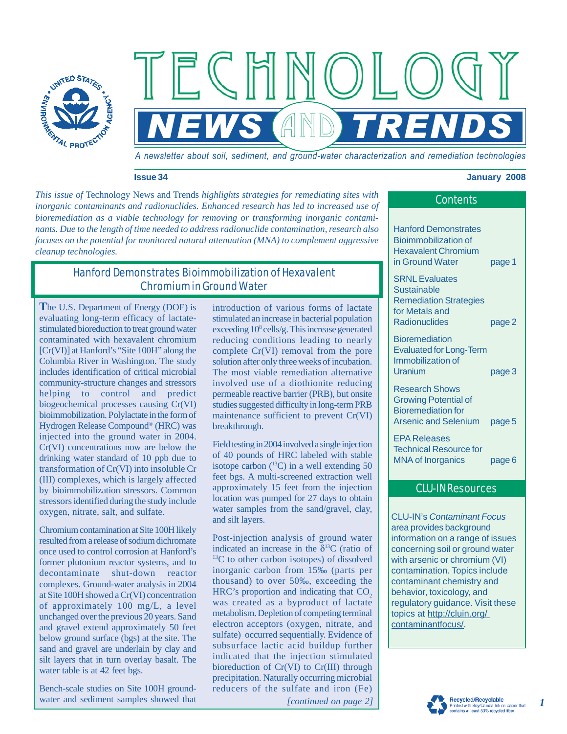

*A newsletter about soil, sediment, and ground-water characterization and remediation technologies* 

**NEWS AND TRENDS** 

#### **Issue 34 January 2008**

*This issue of* Technology News and Trends *highlights strategies for remediating sites with inorganic contaminants and radionuclides. Enhanced research has led to increased use of bioremediation as a viable technology for removing or transforming inorganic contaminants. Due to the length of time needed to address radionuclide contamination, research also focuses on the potential for monitored natural attenuation (MNA) to complement aggressive cleanup technologies.* 

 $F$   $C$   $F$ 

# Hanford Demonstrates Bioimmobilization of Hexavalent Chromium in Ground Water

**T**he U.S. Department of Energy (DOE) is evaluating long-term efficacy of lactatestimulated bioreduction to treat ground water contaminated with hexavalent chromium [Cr(VI)] at Hanford's "Site 100H" along the Columbia River in Washington. The study includes identification of critical microbial community-structure changes and stressors helping to control and predict biogeochemical processes causing Cr(VI) bioimmobilization. Polylactate in the form of Hydrogen Release Compound® (HRC) was injected into the ground water in 2004. Cr(VI) concentrations now are below the drinking water standard of 10 ppb due to transformation of Cr(VI) into insoluble Cr (III) complexes, which is largely affected by bioimmobilization stressors. Common stressors identified during the study include oxygen, nitrate, salt, and sulfate.

Chromium contamination at Site 100H likely resulted from a release of sodium dichromate once used to control corrosion at Hanford's former plutonium reactor systems, and to decontaminate shut-down reactor complexes. Ground-water analysis in 2004 at Site 100H showed a Cr(VI) concentration of approximately 100 mg/L, a level unchanged over the previous 20 years. Sand and gravel extend approximately 50 feet below ground surface (bgs) at the site. The sand and gravel are underlain by clay and silt layers that in turn overlay basalt. The water table is at 42 feet bgs.

Bench-scale studies on Site 100H groundwater and sediment samples showed that introduction of various forms of lactate stimulated an increase in bacterial population exceeding 10<sup>8</sup> cells/g. This increase generated reducing conditions leading to nearly complete Cr(VI) removal from the pore solution after only three weeks of incubation. The most viable remediation alternative involved use of a diothionite reducing permeable reactive barrier (PRB), but onsite studies suggested difficulty in long-term PRB maintenance sufficient to prevent Cr(VI) breakthrough.

Field testing in 2004 involved a single injection of 40 pounds of HRC labeled with stable isotope carbon  $(^{13}C)$  in a well extending 50 feet bgs. A multi-screened extraction well approximately 15 feet from the injection location was pumped for 27 days to obtain water samples from the sand/gravel, clay, and silt layers.

 sulfate) occurred sequentially. Evidence of Post-injection analysis of ground water indicated an increase in the  $\delta^{13}$ C (ratio of  $^{13}$ C to other carbon isotopes) of dissolved inorganic carbon from 15‰ (parts per thousand) to over 50‰, exceeding the HRC's proportion and indicating that  $CO<sub>2</sub>$ was created as a byproduct of lactate metabolism. Depletion of competing terminal electron acceptors (oxygen, nitrate, and subsurface lactic acid buildup further indicated that the injection stimulated bioreduction of Cr(VI) to Cr(III) through precipitation. Naturally occurring microbial reducers of the sulfate and iron (Fe)

*[continued on page 2]* 

# **Contents**

Hanford Demonstrates Bioimmobilization of Hexavalent Chromium in Ground Water page 1

SRNL Evaluates **Sustainable** Remediation Strategies for Metals and Radionuclides page 2

**Bioremediation** Evaluated for Long-Term Immobilization of Uranium page 3

Research Shows Growing Potential of Bioremediation for Arsenic and Selenium page 5

EPA Releases Technical Resource for MNA of Inorganics page 6

## CLU-IN Resources

CLU-IN's *Contaminant Focus*  area provides background information on a range of issues concerning soil or ground water with arsenic or chromium (VI) contamination. Topics include contaminant chemistry and behavior, toxicology, and regulatory guidance. Visit these topics at [http://cluin.org/](http://clu-in.org/contaminantfocus/)  [contaminantfocus/.](http://clu-in.org/contaminantfocus/)

*1*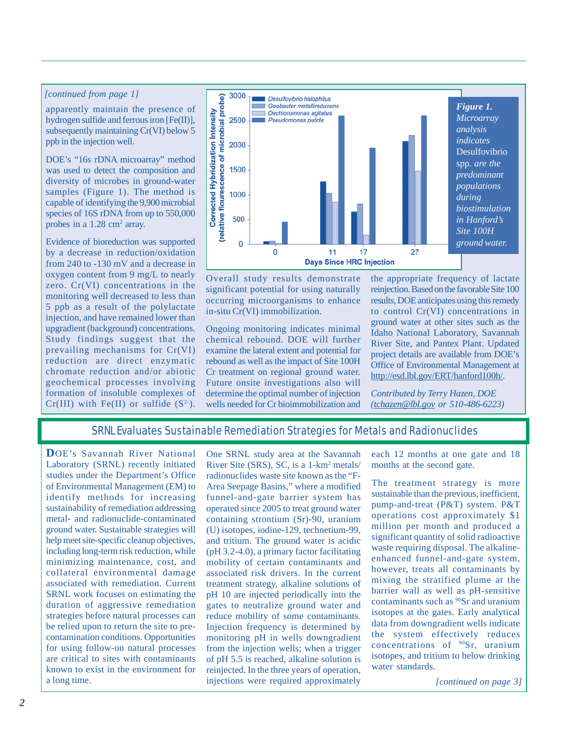### *[continued from page 1]*

apparently maintain the presence of hydrogen sulfide and ferrous iron [Fe(II)], subsequently maintaining Cr(VI) below 5 ppb in the injection well.

DOE's "16s rDNA microarray" method was used to detect the composition and diversity of microbes in ground-water samples (Figure 1). The method is capable of identifying the 9,900 microbial species of 16S rDNA from up to 550,000 probes in a 1.28 cm<sup>2</sup> array.

Evidence of bioreduction was supported by a decrease in reduction/oxidation from 240 to -130 mV and a decrease in oxygen content from 9 mg/L to nearly zero. Cr(VI) concentrations in the monitoring well decreased to less than 5 ppb as a result of the polylactate injection, and have remained lower than upgradient (background) concentrations. Study findings suggest that the prevailing mechanisms for Cr(VI) reduction are direct enzymatic chromate reduction and/or abiotic geochemical processes involving formation of insoluble complexes of Cr(III) with Fe(II) or sulfide  $(S^2)$ .



Overall study results demonstrate significant potential for using naturally occurring microorganisms to enhance in-situ Cr(VI) immobilization.

Ongoing monitoring indicates minimal chemical rebound. DOE will further examine the lateral extent and potential for rebound as well as the impact of Site 100H Cr treatment on regional ground water. Future onsite investigations also will determine the optimal number of injection wells needed for Cr bioimmobilization and

the appropriate frequency of lactate reinjection. Based on the favorable Site 100 results, DOE anticipates using this remedy to control Cr(VI) concentrations in ground water at other sites such as the Idaho National Laboratory, Savannah River Site, and Pantex Plant. Updated project details are available from DOE's Office of Environmental Management at http://esd.lbl.gov/ERT/hanford100h/.

*Contributed by Terry Hazen, DOE (tchazen@lbl.gov or 510-486-6223)* 

#### SRNL Evaluates Sustainable Remediation Strategies for Metals and Radionuclides

**D**OE's Savannah River National Laboratory (SRNL) recently initiated studies under the Department's Office of Environmental Management (EM) to identify methods for increasing sustainability of remediation addressing metal- and radionuclide-contaminated ground water. Sustainable strategies will help meet site-specific cleanup objectives, including long-term risk reduction, while minimizing maintenance, cost, and collateral environmental damage associated with remediation. Current SRNL work focuses on estimating the duration of aggressive remediation strategies before natural processes can be relied upon to return the site to precontamination conditions. Opportunities for using follow-on natural processes are critical to sites with contaminants known to exist in the environment for a long time.

One SRNL study area at the Savannah River Site (SRS), SC, is a 1-km<sup>2</sup> metals/ radionuclides waste site known as the "F-Area Seepage Basins," where a modified funnel-and-gate barrier system has operated since 2005 to treat ground water containing strontium (Sr)-90, uranium (U) isotopes, iodine-129, technetium-99, and tritium. The ground water is acidic (pH 3.2-4.0), a primary factor facilitating mobility of certain contaminants and associated risk drivers. In the current treatment strategy, alkaline solutions of pH 10 are injected periodically into the gates to neutralize ground water and reduce mobility of some contaminants. Injection frequency is determined by monitoring pH in wells downgradient from the injection wells; when a trigger of pH 5.5 is reached, alkaline solution is reinjected. In the three years of operation, injections were required approximately

each 12 months at one gate and 18 months at the second gate.

The treatment strategy is more sustainable than the previous, inefficient, pump-and-treat (P&T) system. P&T operations cost approximately \$1 million per month and produced a significant quantity of solid radioactive waste requiring disposal. The alkalineenhanced funnel-and-gate system, however, treats all contaminants by mixing the stratified plume at the barrier wall as well as pH-sensitive contaminants such as 90Sr and uranium isotopes at the gates. Early analytical data from downgradient wells indicate the system effectively reduces concentrations of 90Sr, uranium isotopes, and tritium to below drinking water standards.

*[continued on page 3]*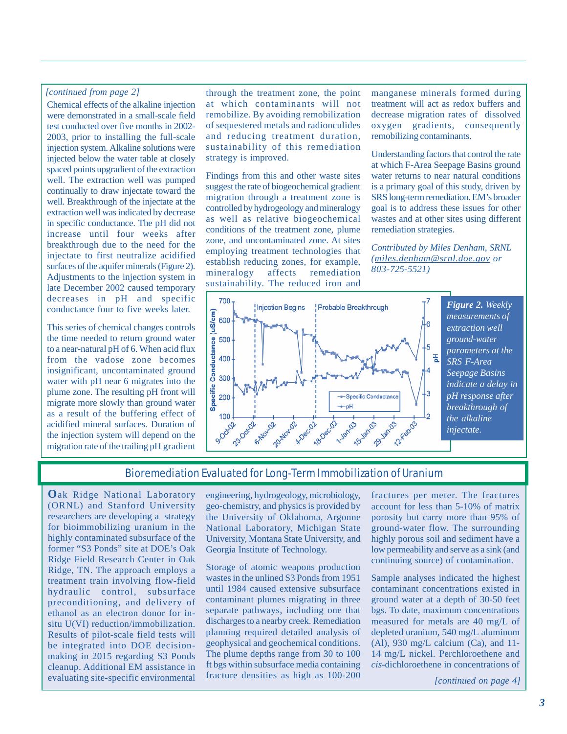## *[continued from page 2]*

Chemical effects of the alkaline injection were demonstrated in a small-scale field test conducted over five months in 2002 2003, prior to installing the full-scale injection system. Alkaline solutions were injected below the water table at closely spaced points upgradient of the extraction well. The extraction well was pumped continually to draw injectate toward the well. Breakthrough of the injectate at the extraction well was indicated by decrease in specific conductance. The pH did not increase until four weeks after breakthrough due to the need for the injectate to first neutralize acidified surfaces of the aquifer minerals (Figure 2). Adjustments to the injection system in late December 2002 caused temporary decreases in pH and specific conductance four to five weeks later.

This series of chemical changes controls the time needed to return ground water to a near-natural pH of 6. When acid flux from the vadose zone becomes insignificant, uncontaminated ground water with pH near 6 migrates into the plume zone. The resulting pH front will migrate more slowly than ground water as a result of the buffering effect of acidified mineral surfaces. Duration of the injection system will depend on the migration rate of the trailing pH gradient

through the treatment zone, the point at which contaminants will not remobilize. By avoiding remobilization of sequestered metals and radionculides and reducing treatment duration, sustainability of this remediation strategy is improved.

Findings from this and other waste sites suggest the rate of biogeochemical gradient migration through a treatment zone is controlled by hydrogeology and mineralogy as well as relative biogeochemical conditions of the treatment zone, plume zone, and uncontaminated zone. At sites employing treatment technologies that establish reducing zones, for example, mineralogy affects remediation sustainability. The reduced iron and

manganese minerals formed during treatment will act as redox buffers and decrease migration rates of dissolved oxygen gradients, consequently remobilizing contaminants.

Understanding factors that control the rate at which F-Area Seepage Basins ground water returns to near natural conditions is a primary goal of this study, driven by SRS long-term remediation. EM's broader goal is to address these issues for other wastes and at other sites using different remediation strategies.

*Contributed by Miles Denham, SRNL (miles.denham@srnl.doe.gov or 803-725-5521)* 



*Figure 2. Weekly measurements of extraction well ground-water parameters at the SRS F-Area Seepage Basins indicate a delay in pH response after breakthrough of the alkaline injectate.* 

## Bioremediation Evaluated for Long-Term Immobilization of Uranium

**O**ak Ridge National Laboratory (ORNL) and Stanford University researchers are developing a strategy for bioimmobilizing uranium in the highly contaminated subsurface of the former "S3 Ponds" site at DOE's Oak Ridge Field Research Center in Oak Ridge, TN. The approach employs a treatment train involving flow-field hydraulic control, subsurface preconditioning, and delivery of ethanol as an electron donor for insitu U(VI) reduction/immobilization. Results of pilot-scale field tests will be integrated into DOE decisionmaking in 2015 regarding S3 Ponds cleanup. Additional EM assistance in evaluating site-specific environmental

engineering, hydrogeology, microbiology, geo-chemistry, and physics is provided by the University of Oklahoma, Argonne National Laboratory, Michigan State University, Montana State University, and Georgia Institute of Technology.

Storage of atomic weapons production wastes in the unlined S3 Ponds from 1951 until 1984 caused extensive subsurface contaminant plumes migrating in three separate pathways, including one that discharges to a nearby creek. Remediation planning required detailed analysis of geophysical and geochemical conditions. The plume depths range from 30 to 100 ft bgs within subsurface media containing fracture densities as high as 100-200

fractures per meter. The fractures account for less than 5-10% of matrix porosity but carry more than 95% of ground-water flow. The surrounding highly porous soil and sediment have a low permeability and serve as a sink (and continuing source) of contamination.

Sample analyses indicated the highest contaminant concentrations existed in ground water at a depth of 30-50 feet bgs. To date, maximum concentrations measured for metals are 40 mg/L of depleted uranium, 540 mg/L aluminum (Al), 930 mg/L calcium (Ca), and  $11$ -14 mg/L nickel. Perchloroethene and *cis*-dichloroethene in concentrations of

*[continued on page 4]*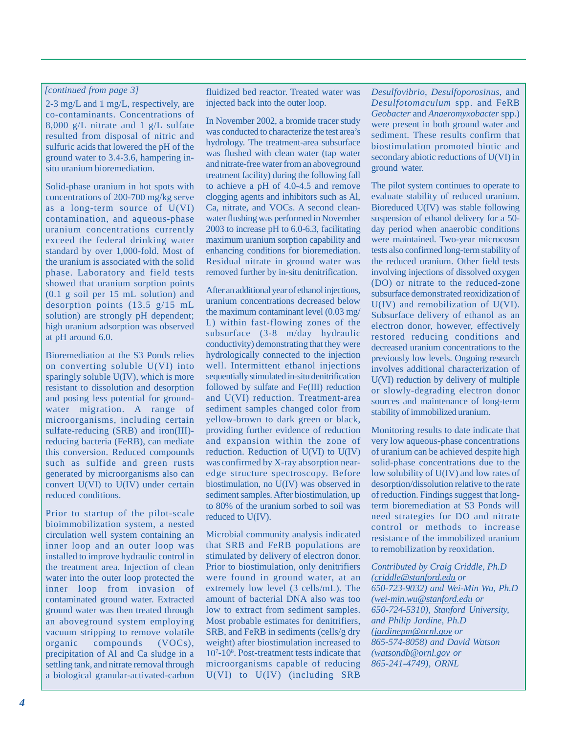#### *[continued from page 3]*

2-3 mg/L and 1 mg/L, respectively, are co-contaminants. Concentrations of 8,000 g/L nitrate and 1 g/L sulfate resulted from disposal of nitric and sulfuric acids that lowered the pH of the ground water to 3.4-3.6, hampering insitu uranium bioremediation.

Solid-phase uranium in hot spots with concentrations of 200-700 mg/kg serve as a long-term source of U(VI) contamination, and aqueous-phase uranium concentrations currently exceed the federal drinking water standard by over 1,000-fold. Most of the uranium is associated with the solid phase. Laboratory and field tests showed that uranium sorption points (0.1 g soil per 15 mL solution) and desorption points (13.5 g/15 mL solution) are strongly pH dependent; high uranium adsorption was observed at pH around 6.0.

Bioremediation at the S3 Ponds relies on converting soluble U(VI) into sparingly soluble U(IV), which is more resistant to dissolution and desorption and posing less potential for groundwater migration. A range of microorganisms, including certain sulfate-reducing (SRB) and iron(III)reducing bacteria (FeRB), can mediate this conversion. Reduced compounds such as sulfide and green rusts generated by microorganisms also can convert U(VI) to U(IV) under certain reduced conditions.

Prior to startup of the pilot-scale bioimmobilization system, a nested circulation well system containing an inner loop and an outer loop was installed to improve hydraulic control in the treatment area. Injection of clean water into the outer loop protected the inner loop from invasion of contaminated ground water. Extracted ground water was then treated through an aboveground system employing vacuum stripping to remove volatile organic compounds (VOCs), precipitation of Al and Ca sludge in a settling tank, and nitrate removal through a biological granular-activated-carbon fluidized bed reactor. Treated water was injected back into the outer loop.

In November 2002, a bromide tracer study was conducted to characterize the test area's hydrology. The treatment-area subsurface was flushed with clean water (tap water and nitrate-free water from an aboveground treatment facility) during the following fall to achieve a pH of 4.0-4.5 and remove clogging agents and inhibitors such as Al, Ca, nitrate, and VOCs. A second cleanwater flushing was performed in November 2003 to increase pH to 6.0-6.3, facilitating maximum uranium sorption capability and enhancing conditions for bioremediation. Residual nitrate in ground water was removed further by in-situ denitrification.

After an additional year of ethanol injections, uranium concentrations decreased below the maximum contaminant level (0.03 mg/ L) within fast-flowing zones of the subsurface (3-8 m/day hydraulic conductivity) demonstrating that they were hydrologically connected to the injection well. Intermittent ethanol injections sequentially stimulated in-situ denitrification followed by sulfate and Fe(III) reduction and U(VI) reduction. Treatment-area sediment samples changed color from yellow-brown to dark green or black, providing further evidence of reduction and expansion within the zone of reduction. Reduction of U(VI) to U(IV) was confirmed by X-ray absorption nearedge structure spectroscopy. Before biostimulation, no U(IV) was observed in sediment samples. After biostimulation, up to 80% of the uranium sorbed to soil was reduced to U(IV).

Microbial community analysis indicated that SRB and FeRB populations are stimulated by delivery of electron donor. Prior to biostimulation, only denitrifiers were found in ground water, at an extremely low level (3 cells/mL). The amount of bacterial DNA also was too low to extract from sediment samples. Most probable estimates for denitrifiers, SRB, and FeRB in sediments (cells/g dry weight) after biostimulation increased to 107 -108 . Post-treatment tests indicate that microorganisms capable of reducing U(VI) to U(IV) (including SRB

*Desulfovibrio*, *Desulfoporosinus*, and *Desulfotomaculum* spp. and FeRB *Geobacter* and *Anaeromyxobacter* spp.) were present in both ground water and sediment. These results confirm that biostimulation promoted biotic and secondary abiotic reductions of U(VI) in ground water.

The pilot system continues to operate to evaluate stability of reduced uranium. Bioreduced U(IV) was stable following suspension of ethanol delivery for a 50 day period when anaerobic conditions were maintained. Two-year microcosm tests also confirmed long-term stability of the reduced uranium. Other field tests involving injections of dissolved oxygen (DO) or nitrate to the reduced-zone subsurface demonstrated reoxidization of U(IV) and remobilization of U(VI). Subsurface delivery of ethanol as an electron donor, however, effectively restored reducing conditions and decreased uranium concentrations to the previously low levels. Ongoing research involves additional characterization of U(VI) reduction by delivery of multiple or slowly-degrading electron donor sources and maintenance of long-term stability of immobilized uranium.

Monitoring results to date indicate that very low aqueous-phase concentrations of uranium can be achieved despite high solid-phase concentrations due to the low solubility of U(IV) and low rates of desorption/dissolution relative to the rate of reduction. Findings suggest that longterm bioremediation at S3 Ponds will need strategies for DO and nitrate control or methods to increase resistance of the immobilized uranium to remobilization by reoxidation.

*Contributed by Craig Criddle, Ph.D (criddle@stanford.edu or 650-723-9032) and Wei-Min Wu, Ph.D (wei-min.wu@stanford.edu or 650-724-5310), Stanford University, and Philip Jardine, Ph.D (jardinepm@ornl.gov or 865-574-8058) and David Watson (watsondb@ornl.gov or 865-241-4749), ORNL*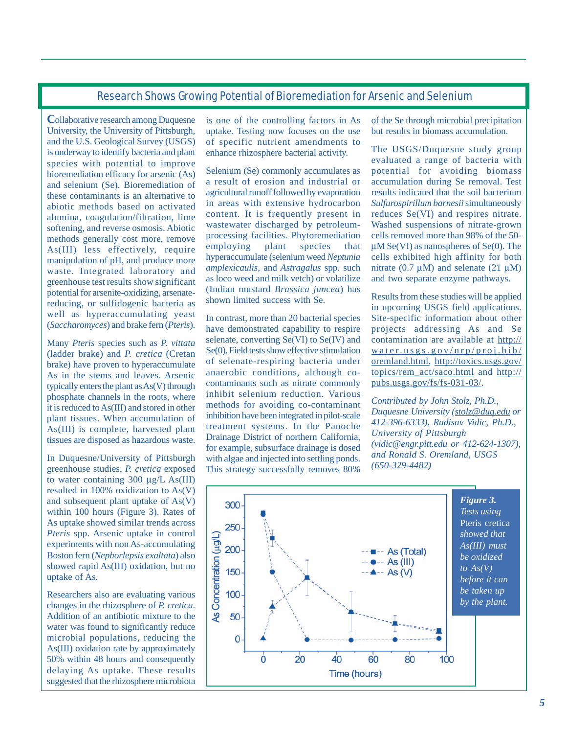## Research Shows Growing Potential of Bioremediation for Arsenic and Selenium

**C**ollaborative research among Duquesne University, the University of Pittsburgh, and the U.S. Geological Survey (USGS) is underway to identify bacteria and plant species with potential to improve bioremediation efficacy for arsenic (As) and selenium (Se). Bioremediation of these contaminants is an alternative to abiotic methods based on activated alumina, coagulation/filtration, lime softening, and reverse osmosis. Abiotic methods generally cost more, remove As(III) less effectively, require manipulation of pH, and produce more waste. Integrated laboratory and greenhouse test results show significant potential for arsenite-oxidizing, arsenatereducing, or sulfidogenic bacteria as well as hyperaccumulating yeast (*Saccharomyces*) and brake fern (*Pteris*).

Many *Pteris* species such as *P. vittata*  (ladder brake) and *P. cretica* (Cretan brake) have proven to hyperaccumulate As in the stems and leaves. Arsenic typically enters the plant as As(V) through phosphate channels in the roots, where it is reduced to As(III) and stored in other plant tissues. When accumulation of As(III) is complete, harvested plant tissues are disposed as hazardous waste.

In Duquesne/University of Pittsburgh greenhouse studies, *P. cretica* exposed to water containing 300 μg/L As(III) resulted in 100% oxidization to As(V) and subsequent plant uptake of As(V) within 100 hours (Figure 3). Rates of As uptake showed similar trends across *Pteris* spp. Arsenic uptake in control experiments with non As-accumulating Boston fern (*Nephorlepsis exaltata*) also showed rapid As(III) oxidation, but no uptake of As.

Researchers also are evaluating various changes in the rhizosphere of *P. cretica*. Addition of an antibiotic mixture to the water was found to significantly reduce microbial populations, reducing the As(III) oxidation rate by approximately 50% within 48 hours and consequently delaying As uptake. These results suggested that the rhizosphere microbiota

is one of the controlling factors in As uptake. Testing now focuses on the use of specific nutrient amendments to enhance rhizosphere bacterial activity.

Selenium (Se) commonly accumulates as a result of erosion and industrial or agricultural runoff followed by evaporation in areas with extensive hydrocarbon content. It is frequently present in wastewater discharged by petroleumprocessing facilities. Phytoremediation employing plant species that hyperaccumulate (selenium weed *Neptunia amplexicaulis,* and *Astragalus* spp. such as loco weed and milk vetch) or volatilize (Indian mustard *Brassica juncea*) has shown limited success with Se.

In contrast, more than 20 bacterial species have demonstrated capability to respire selenate, converting Se(VI) to Se(IV) and Se(0). Field tests show effective stimulation of selenate-respiring bacteria under anaerobic conditions, although cocontaminants such as nitrate commonly inhibit selenium reduction. Various methods for avoiding co-contaminant inhibition have been integrated in pilot-scale treatment systems. In the Panoche Drainage District of northern California, for example, subsurface drainage is dosed with algae and injected into settling ponds. This strategy successfully removes 80%

of the Se through microbial precipitation but results in biomass accumulation.

The USGS/Duquesne study group evaluated a range of bacteria with potential for avoiding biomass accumulation during Se removal. Test results indicated that the soil bacterium *Sulfurospirillum barnesii* simultaneously reduces Se(VI) and respires nitrate. Washed suspensions of nitrate-grown cells removed more than 98% of the 50 μM Se(VI) as nanospheres of Se(0). The cells exhibited high affinity for both nitrate  $(0.7 \mu M)$  and selenate  $(21 \mu M)$ and two separate enzyme pathways.

Results from these studies will be applied in upcoming USGS field applications. Site-specific information about other projects addressing As and Se contamination are available at [http://](http://water.usgs.gov/nrp/proj.bib/oremland.html)  [water .usgs.gov/nrp/proj.bib/](http://water.usgs.gov/nrp/proj.bib/oremland.html)  [oremland.html,](http://water.usgs.gov/nrp/proj.bib/oremland.html) [http://toxics.usgs.gov/](http:///toxics.usgs.gov/topics/rem_act/saco.html) [topics/rem\\_act/saco.html](http:///toxics.usgs.gov/topics/rem_act/saco.html) and [http://](http://pubs.usgs.gov/fs/fs-031-03/)  [pubs.usgs.gov/fs/fs-031-03/.](http://pubs.usgs.gov/fs/fs-031-03/) 

*Contributed by John Stolz, Ph.D., Duquesne University (stolz@duq.edu or 412-396-6333), Radisav Vidic, Ph.D., University of Pittsburgh (vidic@engr.pitt.edu or 412-624-1307), and Ronald S. Oremland, USGS (650-329-4482)*